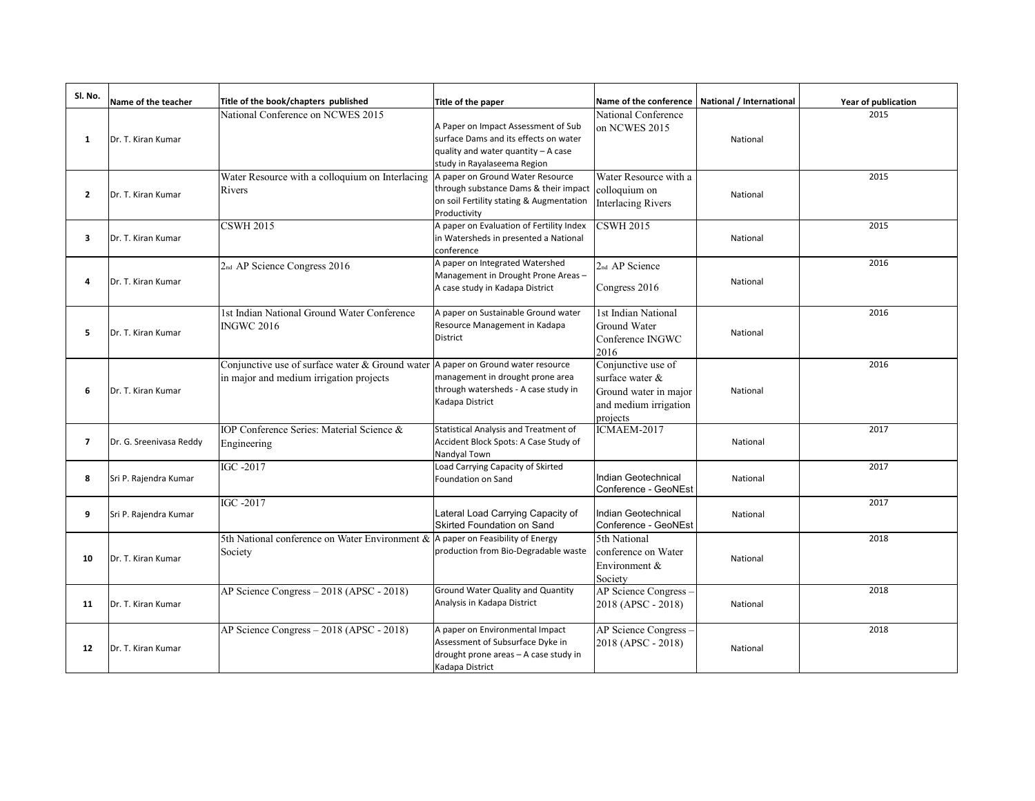| SI. No.        | Name of the teacher     | Title of the book/chapters published                                                          | Title of the paper                                                                                                                                 | Name of the conference                                                                              | National / International | Year of publication |
|----------------|-------------------------|-----------------------------------------------------------------------------------------------|----------------------------------------------------------------------------------------------------------------------------------------------------|-----------------------------------------------------------------------------------------------------|--------------------------|---------------------|
| 1              | Dr. T. Kiran Kumar      | National Conference on NCWES 2015                                                             | A Paper on Impact Assessment of Sub<br>surface Dams and its effects on water<br>quality and water quantity - A case<br>study in Rayalaseema Region | National Conference<br>on NCWES 2015                                                                | National                 | 2015                |
| $\overline{2}$ | Dr. T. Kiran Kumar      | Water Resource with a colloquium on Interlacing<br>Rivers                                     | A paper on Ground Water Resource<br>through substance Dams & their impact<br>on soil Fertility stating & Augmentation<br>Productivity              | Water Resource with a<br>colloquium on<br><b>Interlacing Rivers</b>                                 | National                 | 2015                |
| 3              | Dr. T. Kiran Kumar      | <b>CSWH 2015</b>                                                                              | A paper on Evaluation of Fertility Index<br>in Watersheds in presented a National<br>conference                                                    | <b>CSWH 2015</b>                                                                                    | National                 | 2015                |
| 4              | Dr. T. Kiran Kumar      | 2nd AP Science Congress 2016                                                                  | A paper on Integrated Watershed<br>Management in Drought Prone Areas-<br>A case study in Kadapa District                                           | 2 <sub>nd</sub> AP Science<br>Congress 2016                                                         | National                 | 2016                |
| 5              | Dr. T. Kiran Kumar      | 1st Indian National Ground Water Conference<br><b>INGWC 2016</b>                              | A paper on Sustainable Ground water<br>Resource Management in Kadapa<br>District                                                                   | 1st Indian National<br>Ground Water<br>Conference INGWC<br>2016                                     | National                 | 2016                |
| 6              | Dr. T. Kiran Kumar      | Conjunctive use of surface water & Ground water<br>in major and medium irrigation projects    | A paper on Ground water resource<br>management in drought prone area<br>through watersheds - A case study in<br>Kadapa District                    | Conjunctive use of<br>surface water &<br>Ground water in major<br>and medium irrigation<br>projects | National                 | 2016                |
| $\overline{7}$ | Dr. G. Sreenivasa Reddy | IOP Conference Series: Material Science &<br>Engineering                                      | Statistical Analysis and Treatment of<br>Accident Block Spots: A Case Study of<br>Nandyal Town                                                     | ICMAEM-2017                                                                                         | National                 | 2017                |
| 8              | Sri P. Rajendra Kumar   | IGC -2017                                                                                     | Load Carrying Capacity of Skirted<br>Foundation on Sand                                                                                            | Indian Geotechnical<br>Conference - GeoNEst                                                         | National                 | 2017                |
| 9              | Sri P. Rajendra Kumar   | IGC -2017                                                                                     | Lateral Load Carrying Capacity of<br>Skirted Foundation on Sand                                                                                    | Indian Geotechnical<br>Conference - GeoNEst                                                         | National                 | 2017                |
| 10             | Dr. T. Kiran Kumar      | 5th National conference on Water Environment $\&$ A paper on Feasibility of Energy<br>Society | production from Bio-Degradable waste                                                                                                               | 5th National<br>conference on Water<br>Environment &<br>Society                                     | National                 | 2018                |
| 11             | Dr. T. Kiran Kumar      | AP Science Congress - 2018 (APSC - 2018)                                                      | Ground Water Quality and Quantity<br>Analysis in Kadapa District                                                                                   | AP Science Congress<br>2018 (APSC - 2018)                                                           | National                 | 2018                |
| 12             | Dr. T. Kiran Kumar      | AP Science Congress - 2018 (APSC - 2018)                                                      | A paper on Environmental Impact<br>Assessment of Subsurface Dyke in<br>drought prone areas - A case study in<br>Kadapa District                    | AP Science Congress<br>2018 (APSC - 2018)                                                           | National                 | 2018                |